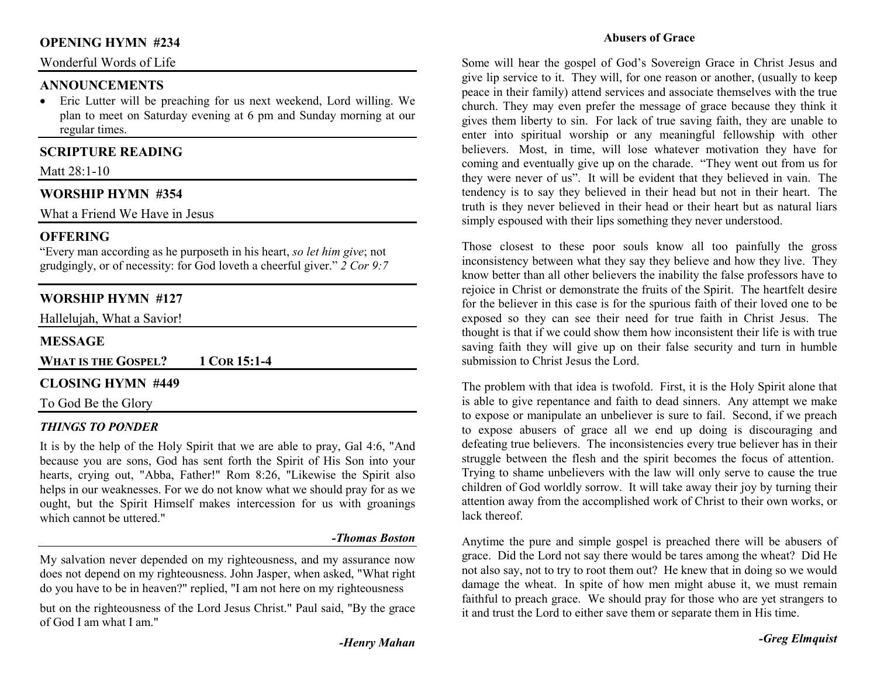## **OPENING HYMN #234**

#### Wonderful Words of Life

#### **ANNOUNCEMENTS**

 • Eric Lutter will be preaching for us next weekend, Lord willing. We plan to meet on Saturday evening at 6 pm and Sunday morning at our regular times.

# **SCRIPTURE READING**

Matt 28:1-10

## **WORSHIP HYMN #354**

What a Friend We Have in Jesus

#### **OFFERING**

 "Every man according as he purposeth in his heart, *so let him give*; not grudgingly, or of necessity: for God loveth a cheerful giver." *2 Cor 9:7*

## **WORSHIP HYMN #127**

Hallelujah, What a Savior!

#### **MESSAGE**

**WHAT IS THE GOSPEL? 1COR 15:1-4** 

#### **CLOSING HYMN #449**

#### To God Be the Glory

#### *THINGS TO PONDER*

It is by the help of the Holy Spirit that we are able to pray, Gal 4:6, "And because you are sons, God has sent forth the Spirit of His Son into your hearts, crying out, "Abba, Father!" Rom 8:26, "Likewise the Spirit also helps in our weaknesses. For we do not know what we should pray for as we ought, but the Spirit Himself makes intercession for us with groanings which cannot be uttered."

#### *-Thomas Boston*

My salvation never depended on my righteousness, and my assurance now does not depend on my righteousness. John Jasper, when asked, "What right do you have to be in heaven?" replied, "I am not here on my righteousness

but on the righteousness of the Lord Jesus Christ." Paul said, "By the grace of God I am what I am."

#### **Abusers of Grace**

Some will hear the gospel of God's Sovereign Grace in Christ Jesus and give lip service to it. They will, for one reason or another, (usually to keep peace in their family) attend services and associate themselves with the true church. They may even prefer the message of grace because they think it gives them liberty to sin. For lack of true saving faith, they are unable to enter into spiritual worship or any meaningful fellowship with other believers. Most, in time, will lose whatever motivation they have for coming and eventually give up on the charade. "They went out from us for they were never of us". It will be evident that they believed in vain. The tendency is to say they believed in their head but not in their heart. The truth is they never believed in their head or their heart but as natural liars simply espoused with their lips something they never understood.

Those closest to these poor souls know all too painfully the gross inconsistency between what they say they believe and how they live. They know better than all other believers the inability the false professors have to rejoice in Christ or demonstrate the fruits of the Spirit. The heartfelt desire for the believer in this case is for the spurious faith of their loved one to be exposed so they can see their need for true faith in Christ Jesus. The thought is that if we could show them how inconsistent their life is with true saving faith they will give up on their false security and turn in humble submission to Christ Jesus the Lord.

The problem with that idea is twofold. First, it is the Holy Spirit alone that is able to give repentance and faith to dead sinners. Any attempt we make to expose or manipulate an unbeliever is sure to fail. Second, if we preach to expose abusers of grace all we end up doing is discouraging and defeating true believers. The inconsistencies every true believer has in their struggle between the flesh and the spirit becomes the focus of attention. Trying to shame unbelievers with the law will only serve to cause the true children of God worldly sorrow. It will take away their joy by turning their attention away from the accomplished work of Christ to their own works, or lack thereof

Anytime the pure and simple gospel is preached there will be abusers of grace. Did the Lord not say there would be tares among the wheat? Did He not also say, not to try to root them out? He knew that in doing so we would damage the wheat. In spite of how men might abuse it, we must remain faithful to preach grace. We should pray for those who are yet strangers to it and trust the Lord to either save them or separate them in His time.